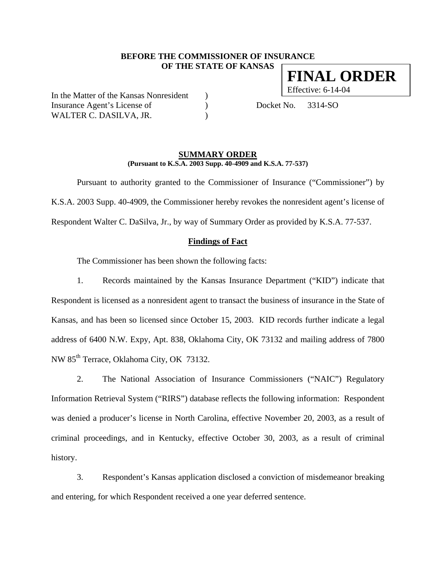## **BEFORE THE COMMISSIONER OF INSURANCE OF THE STATE OF KANSAS**

In the Matter of the Kansas Nonresident ) Insurance Agent's License of (a) Docket No. 3314-SO WALTER C. DASILVA, JR.

#### **SUMMARY ORDER (Pursuant to K.S.A. 2003 Supp. 40-4909 and K.S.A. 77-537)**

 Pursuant to authority granted to the Commissioner of Insurance ("Commissioner") by K.S.A. 2003 Supp. 40-4909, the Commissioner hereby revokes the nonresident agent's license of Respondent Walter C. DaSilva, Jr., by way of Summary Order as provided by K.S.A. 77-537.

### **Findings of Fact**

The Commissioner has been shown the following facts:

1. Records maintained by the Kansas Insurance Department ("KID") indicate that Respondent is licensed as a nonresident agent to transact the business of insurance in the State of Kansas, and has been so licensed since October 15, 2003. KID records further indicate a legal address of 6400 N.W. Expy, Apt. 838, Oklahoma City, OK 73132 and mailing address of 7800 NW 85<sup>th</sup> Terrace, Oklahoma City, OK 73132.

2. The National Association of Insurance Commissioners ("NAIC") Regulatory Information Retrieval System ("RIRS") database reflects the following information: Respondent was denied a producer's license in North Carolina, effective November 20, 2003, as a result of criminal proceedings, and in Kentucky, effective October 30, 2003, as a result of criminal history.

3. Respondent's Kansas application disclosed a conviction of misdemeanor breaking and entering, for which Respondent received a one year deferred sentence.

**FINAL ORDER**

Effective: 6-14-04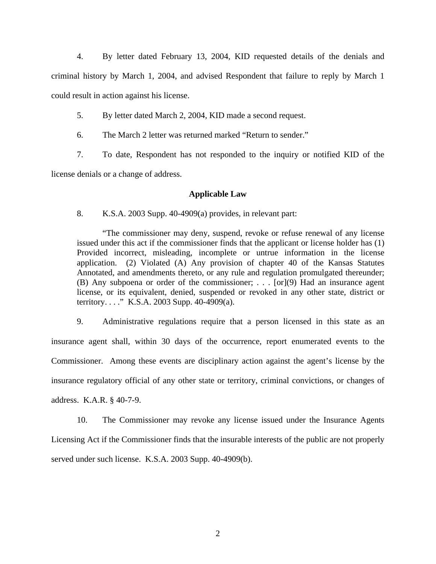4. By letter dated February 13, 2004, KID requested details of the denials and criminal history by March 1, 2004, and advised Respondent that failure to reply by March 1 could result in action against his license.

5. By letter dated March 2, 2004, KID made a second request.

6. The March 2 letter was returned marked "Return to sender."

7. To date, Respondent has not responded to the inquiry or notified KID of the

license denials or a change of address.

### **Applicable Law**

8. K.S.A. 2003 Supp. 40-4909(a) provides, in relevant part:

"The commissioner may deny, suspend, revoke or refuse renewal of any license issued under this act if the commissioner finds that the applicant or license holder has (1) Provided incorrect, misleading, incomplete or untrue information in the license application. (2) Violated (A) Any provision of chapter 40 of the Kansas Statutes Annotated, and amendments thereto, or any rule and regulation promulgated thereunder; (B) Any subpoena or order of the commissioner; . . . [or](9) Had an insurance agent license, or its equivalent, denied, suspended or revoked in any other state, district or territory. . . ." K.S.A. 2003 Supp. 40-4909(a).

9. Administrative regulations require that a person licensed in this state as an insurance agent shall, within 30 days of the occurrence, report enumerated events to the Commissioner. Among these events are disciplinary action against the agent's license by the insurance regulatory official of any other state or territory, criminal convictions, or changes of address. K.A.R. § 40-7-9.

10. The Commissioner may revoke any license issued under the Insurance Agents Licensing Act if the Commissioner finds that the insurable interests of the public are not properly served under such license. K.S.A. 2003 Supp. 40-4909(b).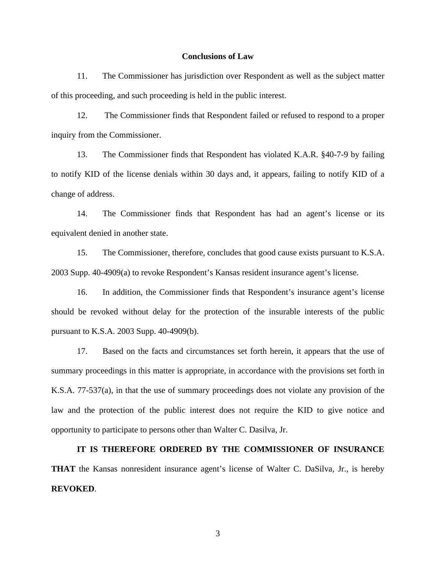#### **Conclusions of Law**

11. The Commissioner has jurisdiction over Respondent as well as the subject matter of this proceeding, and such proceeding is held in the public interest.

12. The Commissioner finds that Respondent failed or refused to respond to a proper inquiry from the Commissioner.

13. The Commissioner finds that Respondent has violated K.A.R. §40-7-9 by failing to notify KID of the license denials within 30 days and, it appears, failing to notify KID of a change of address.

14. The Commissioner finds that Respondent has had an agent's license or its equivalent denied in another state.

15. The Commissioner, therefore, concludes that good cause exists pursuant to K.S.A. 2003 Supp. 40-4909(a) to revoke Respondent's Kansas resident insurance agent's license.

16. In addition, the Commissioner finds that Respondent's insurance agent's license should be revoked without delay for the protection of the insurable interests of the public pursuant to K.S.A. 2003 Supp. 40-4909(b).

17. Based on the facts and circumstances set forth herein, it appears that the use of summary proceedings in this matter is appropriate, in accordance with the provisions set forth in K.S.A. 77-537(a), in that the use of summary proceedings does not violate any provision of the law and the protection of the public interest does not require the KID to give notice and opportunity to participate to persons other than Walter C. Dasilva, Jr.

**IT IS THEREFORE ORDERED BY THE COMMISSIONER OF INSURANCE THAT** the Kansas nonresident insurance agent's license of Walter C. DaSilva, Jr., is hereby **REVOKED**.

3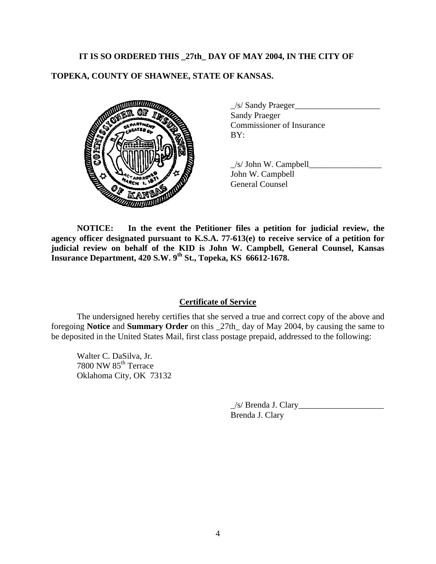## **IT IS SO ORDERED THIS \_27th\_ DAY OF MAY 2004, IN THE CITY OF**

# **TOPEKA, COUNTY OF SHAWNEE, STATE OF KANSAS.**



| $\angle$ s/ Sandy Praeger        |  |
|----------------------------------|--|
| <b>Sandy Praeger</b>             |  |
| <b>Commissioner of Insurance</b> |  |
| BY:                              |  |

 $\angle$ s/ John W. Campbell $\angle$ John W. Campbell General Counsel

**NOTICE: In the event the Petitioner files a petition for judicial review, the agency officer designated pursuant to K.S.A. 77-613(e) to receive service of a petition for judicial review on behalf of the KID is John W. Campbell, General Counsel, Kansas Insurance Department, 420 S.W. 9th St., Topeka, KS 66612-1678.** 

## **Certificate of Service**

 The undersigned hereby certifies that she served a true and correct copy of the above and foregoing **Notice** and **Summary Order** on this \_27th\_ day of May 2004, by causing the same to be deposited in the United States Mail, first class postage prepaid, addressed to the following:

 Walter C. DaSilva, Jr. 7800 NW 85th Terrace Oklahoma City, OK 73132

> \_/s/ Brenda J. Clary\_\_\_\_\_\_\_\_\_\_\_\_\_\_\_\_\_\_\_\_ Brenda J. Clary